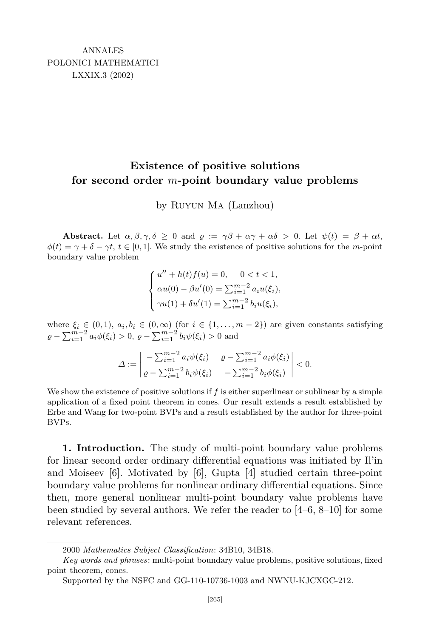## **Existence of positive solutions for second order** *m***-point boundary value problems**

by Ruyun Ma (Lanzhou)

**Abstract.** Let  $\alpha, \beta, \gamma, \delta \geq 0$  and  $\rho := \gamma\beta + \alpha\gamma + \alpha\delta > 0$ . Let  $\psi(t) = \beta + \alpha t$ ,  $\phi(t) = \gamma + \delta - \gamma t$ ,  $t \in [0, 1]$ . We study the existence of positive solutions for the *m*-point boundary value problem

$$
\begin{cases}\nu'' + h(t)f(u) = 0, & 0 < t < 1, \\
\alpha u(0) - \beta u'(0) = \sum_{i=1}^{m-2} a_i u(\xi_i), \\
\gamma u(1) + \delta u'(1) = \sum_{i=1}^{m-2} b_i u(\xi_i),\n\end{cases}
$$

where  $\xi_i \in (0,1)$ ,  $a_i, b_i \in (0,\infty)$  (for  $i \in \{1,\ldots,m-2\}$ ) are given constants satisfying  $\varrho - \sum_{i=1}^{m-2} a_i \phi(\xi_i) > 0, \ \varrho - \sum_{i=1}^{m-2} b_i \psi(\xi_i) > 0$  and

$$
\Delta := \begin{vmatrix} -\sum_{i=1}^{m-2} a_i \psi(\xi_i) & \varrho - \sum_{i=1}^{m-2} a_i \phi(\xi_i) \\ \varrho - \sum_{i=1}^{m-2} b_i \psi(\xi_i) & -\sum_{i=1}^{m-2} b_i \phi(\xi_i) \end{vmatrix} < 0.
$$

We show the existence of positive solutions if f is either superlinear or sublinear by a simple application of a fixed point theorem in cones. Our result extends a result established by Erbe and Wang for two-point BVPs and a result established by the author for three-point BVPs.

**1. Introduction.** The study of multi-point boundary value problems for linear second order ordinary differential equations was initiated by Il'in and Moiseev [6]. Motivated by [6], Gupta [4] studied certain three-point boundary value problems for nonlinear ordinary differential equations. Since then, more general nonlinear multi-point boundary value problems have been studied by several authors. We refer the reader to  $[4-6, 8-10]$  for some relevant references.

<sup>2000</sup> *Mathematics Subject Classification*: 34B10, 34B18.

*Key words and phrases*: multi-point boundary value problems, positive solutions, fixed point theorem, cones.

Supported by the NSFC and GG-110-10736-1003 and NWNU-KJCXGC-212.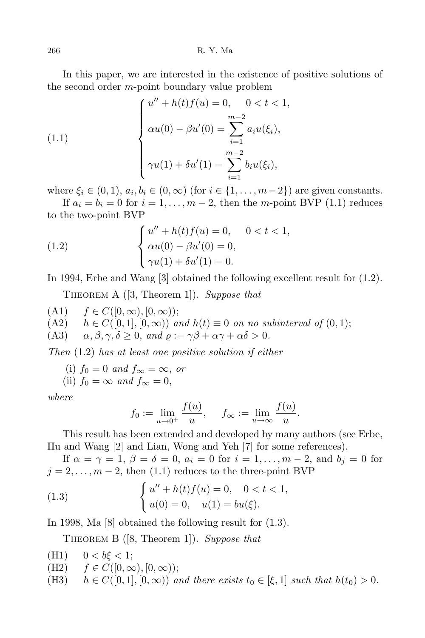In this paper, we are interested in the existence of positive solutions of the second order *m*-point boundary value problem

(1.1) 
$$
\begin{cases} u'' + h(t)f(u) = 0, & 0 < t < 1, \\ \alpha u(0) - \beta u'(0) = \sum_{i=1}^{m-2} a_i u(\xi_i), \\ \gamma u(1) + \delta u'(1) = \sum_{i=1}^{m-2} b_i u(\xi_i), \end{cases}
$$

where  $\xi_i \in (0,1)$ ,  $a_i, b_i \in (0,\infty)$  (for  $i \in \{1,\ldots,m-2\}$ ) are given constants.

If  $a_i = b_i = 0$  for  $i = 1, \ldots, m-2$ , then the *m*-point BVP (1.1) reduces to the two-point BVP

(1.2) 
$$
\begin{cases} u'' + h(t)f(u) = 0, & 0 < t < 1, \\ \alpha u(0) - \beta u'(0) = 0, \\ \gamma u(1) + \delta u'(1) = 0. \end{cases}
$$

In 1994, Erbe and Wang [3] obtained the following excellent result for (1.2).

Theorem A ([3, Theorem 1]). *Suppose that*

(A1)  $f \in C([0, \infty), [0, \infty))$ ;<br>(A2)  $h \in C([0, 1], [0, \infty))$  a (A2)  $h \in C([0,1], [0, \infty))$  and  $h(t) \equiv 0$  on no subinterval of  $(0,1)$ ;<br>(A3)  $\alpha, \beta, \gamma, \delta > 0$ , and  $\rho := \gamma \beta + \alpha \gamma + \alpha \delta > 0$ .  $\alpha, \beta, \gamma, \delta \geq 0$ , and  $\rho := \gamma\beta + \alpha\gamma + \alpha\delta > 0$ .

*Then* (1*.*2) *has at least one positive solution if either*

(i) 
$$
f_0 = 0
$$
 and  $f_{\infty} = \infty$ , or  
(ii)  $f_0 = \infty$  and  $f_{\infty} = 0$ ,

*where*

$$
f_0 := \lim_{u \to 0^+} \frac{f(u)}{u}, \quad f_{\infty} := \lim_{u \to \infty} \frac{f(u)}{u}.
$$

This result has been extended and developed by many authors (see Erbe, Hu and Wang [2] and Lian, Wong and Yeh [7] for some references).

If  $\alpha = \gamma = 1, \beta = \delta = 0, a_i = 0$  for  $i = 1, \ldots, m-2$ , and  $b_j = 0$  for  $j = 2, \ldots, m-2$ , then (1.1) reduces to the three-point BVP

(1.3) 
$$
\begin{cases} u'' + h(t)f(u) = 0, & 0 < t < 1, \\ u(0) = 0, & u(1) = bu(\xi). \end{cases}
$$

In 1998, Ma [8] obtained the following result for (1.3).

Theorem B ([8, Theorem 1]). *Suppose that*

- (H1)  $0 < b \xi < 1$ ;
- (H2)  $f \in C([0, \infty), [0, \infty))$ ;<br>(H3)  $h \in C([0, 1], [0, \infty))$  a
- $h \in C([0, 1], [0, \infty))$  and there exists  $t_0 \in [\xi, 1]$  such that  $h(t_0) > 0$ .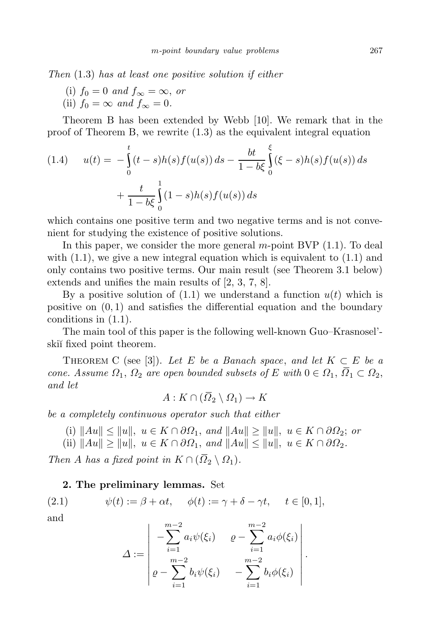*Then* (1*.*3) *has at least one positive solution if either*

(i) 
$$
f_0 = 0
$$
 and  $f_{\infty} = \infty$ , or

(ii)  $f_0 = \infty$  *and*  $f_{\infty} = 0$ .

Theorem B has been extended by Webb [10]. We remark that in the proof of Theorem B, we rewrite (1.3) as the equivalent integral equation

(1.4) 
$$
u(t) = -\int_{0}^{t} (t-s)h(s)f(u(s)) ds - \frac{bt}{1-b\xi} \int_{0}^{\xi} (\xi - s)h(s)f(u(s)) ds
$$

$$
+ \frac{t}{1-b\xi} \int_{0}^{1} (1-s)h(s)f(u(s)) ds
$$

which contains one positive term and two negative terms and is not convenient for studying the existence of positive solutions.

In this paper, we consider the more general *m*-point BVP (1.1). To deal with  $(1.1)$ , we give a new integral equation which is equivalent to  $(1.1)$  and only contains two positive terms. Our main result (see Theorem 3.1 below) extends and unifies the main results of [2, 3, 7, 8].

By a positive solution of  $(1.1)$  we understand a function  $u(t)$  which is positive on (0*,* 1) and satisfies the differential equation and the boundary conditions in (1.1).

The main tool of this paper is the following well-known Guo–Krasnosel' ski<sup>i</sup> fixed point theorem.

THEOREM C (see [3]). Let E be a Banach space, and let  $K \subset E$  be a *cone. Assume*  $\Omega_1$ ,  $\Omega_2$  *are open bounded subsets of*  $E$  *with*  $0 \in \Omega_1$ ,  $\overline{\Omega}_1 \subset \Omega_2$ , *and let*

$$
A: K \cap (\Omega_2 \setminus \Omega_1) \to K
$$

*be a completely continuous operator such that either*

- (i)  $||Au|| \le ||u||$ ,  $u \in K \cap \partial \Omega_1$ , and  $||Au|| \ge ||u||$ ,  $u \in K \cap \partial \Omega_2$ ; or
- (ii)  $||Au|| \ge ||u||$ ,  $u \in K \cap \partial \Omega_1$ , and  $||Au|| \le ||u||$ ,  $u \in K \cap \partial \Omega_2$ .

*Then A has a fixed point in*  $K \cap (\overline{\Omega}_2 \setminus \Omega_1)$ *.* 

## **2. The preliminary lemmas.** Set

(2.1)  $\psi(t) := \beta + \alpha t, \quad \phi(t) := \gamma + \delta - \gamma t, \quad t \in [0, 1],$ and

$$
\Delta := \begin{vmatrix} -\sum_{i=1}^{m-2} a_i \psi(\xi_i) & \varrho - \sum_{i=1}^{m-2} a_i \phi(\xi_i) \\ \varrho - \sum_{i=1}^{m-2} b_i \psi(\xi_i) & -\sum_{i=1}^{m-2} b_i \phi(\xi_i) \end{vmatrix}.
$$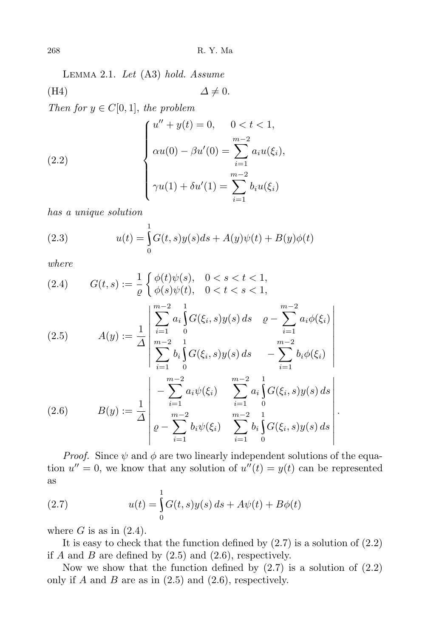268 R. Y. Ma

Lemma 2.1. *Let* (A3) *hold. Assume* (H4)  $\Delta \neq 0$ .

*Then for*  $y \in C[0, 1]$ , *the problem* 

(2.2) 
$$
\begin{cases} u'' + y(t) = 0, & 0 < t < 1, \\ \alpha u(0) - \beta u'(0) = \sum_{i=1}^{m-2} a_i u(\xi_i), \\ \gamma u(1) + \delta u'(1) = \sum_{i=1}^{m-2} b_i u(\xi_i) \end{cases}
$$

*has a unique solution*

(2.3) 
$$
u(t) = \int_{0}^{1} G(t, s)y(s)ds + A(y)\psi(t) + B(y)\phi(t)
$$

*where*

(2.4) 
$$
G(t,s) := \frac{1}{\varrho} \begin{cases} \phi(t)\psi(s), & 0 < s < t < 1, \\ \phi(s)\psi(t), & 0 < t < s < 1, \end{cases}
$$

(2.5) 
$$
A(y) := \frac{1}{\Delta} \begin{vmatrix} \sum_{i=1}^{m-2} a_i \int_0^1 G(\xi_i, s) y(s) ds & \rho - \sum_{i=1}^{m-2} a_i \phi(\xi_i) \\ \sum_{i=1}^{m-2} b_i \int_0^1 G(\xi_i, s) y(s) ds & - \sum_{i=1}^{m-2} b_i \phi(\xi_i) \\ - \sum_{i=1}^{m-2} a_i \psi(\xi_i) & \sum_{i=1}^{m-2} a_i \int_0^1 G(\xi_i, s) y(s) ds \\ 0 & B(y) := \frac{1}{\Delta} \begin{vmatrix} m-2 & \mu & \mu-2 \\ 0 & m-2 & \mu & \mu-2 \\ m-2 & \mu & \mu-2 & 1 \\ 0 & \sum_{i=1}^{m-2} b_i \psi(\xi_i) & \sum_{i=1}^{m-2} b_i \int_0^1 G(\xi_i, s) y(s) ds \end{vmatrix}.
$$

*Proof.* Since  $\psi$  and  $\phi$  are two linearly independent solutions of the equation  $u'' = 0$ , we know that any solution of  $u''(t) = y(t)$  can be represented as

(2.7) 
$$
u(t) = \int_{0}^{1} G(t, s)y(s) ds + A\psi(t) + B\phi(t)
$$

where  $G$  is as in  $(2.4)$ .

It is easy to check that the function defined by  $(2.7)$  is a solution of  $(2.2)$ if  $A$  and  $B$  are defined by  $(2.5)$  and  $(2.6)$ , respectively.

Now we show that the function defined by  $(2.7)$  is a solution of  $(2.2)$ only if  $A$  and  $B$  are as in  $(2.5)$  and  $(2.6)$ , respectively.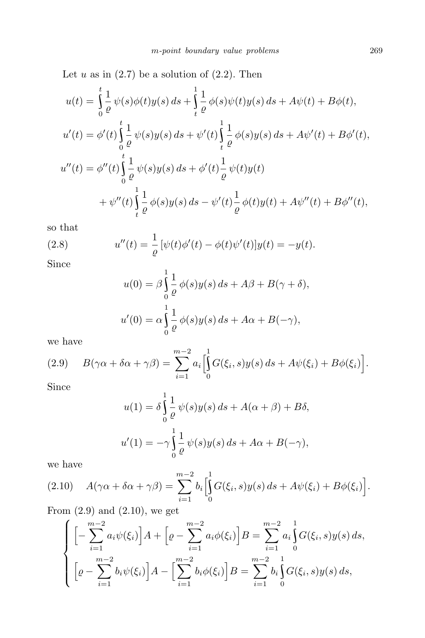Let  $u$  as in  $(2.7)$  be a solution of  $(2.2)$ . Then

$$
u(t) = \int_{0}^{t} \frac{1}{\rho} \psi(s)\phi(t)y(s) ds + \int_{t}^{1} \frac{1}{\rho} \phi(s)\psi(t)y(s) ds + A\psi(t) + B\phi(t),
$$
  
\n
$$
u'(t) = \phi'(t)\int_{0}^{t} \frac{1}{\rho} \psi(s)y(s) ds + \psi'(t)\int_{t}^{1} \frac{1}{\rho} \phi(s)y(s) ds + A\psi'(t) + B\phi'(t),
$$
  
\n
$$
u''(t) = \phi''(t)\int_{0}^{t} \frac{1}{\rho} \psi(s)y(s) ds + \phi'(t)\frac{1}{\rho} \psi(t)y(t)
$$
  
\n
$$
+ \psi''(t)\int_{t}^{1} \frac{1}{\rho} \phi(s)y(s) ds - \psi'(t)\frac{1}{\rho} \phi(t)y(t) + A\psi''(t) + B\phi''(t),
$$

so that

(2.8) 
$$
u''(t) = \frac{1}{\varrho} \left[ \psi(t) \phi'(t) - \phi(t) \psi'(t) \right] y(t) = -y(t).
$$

Since

$$
u(0) = \beta \int_{0}^{1} \frac{1}{\varrho} \phi(s) y(s) ds + A\beta + B(\gamma + \delta),
$$
  

$$
u'(0) = \alpha \int_{0}^{1} \frac{1}{\varrho} \phi(s) y(s) ds + A\alpha + B(-\gamma),
$$

we have

(2.9) 
$$
B(\gamma\alpha + \delta\alpha + \gamma\beta) = \sum_{i=1}^{m-2} a_i \left[ \int_0^1 G(\xi_i, s) y(s) ds + A\psi(\xi_i) + B\phi(\xi_i) \right].
$$

Since

$$
u(1) = \delta \int_{0}^{1} \frac{1}{\varrho} \psi(s) y(s) ds + A(\alpha + \beta) + B\delta,
$$
  

$$
u'(1) = -\gamma \int_{0}^{1} \frac{1}{\varrho} \psi(s) y(s) ds + A\alpha + B(-\gamma),
$$

we have

$$
(2.10) \quad A(\gamma \alpha + \delta \alpha + \gamma \beta) = \sum_{i=1}^{m-2} b_i \left[ \int_0^1 G(\xi_i, s) y(s) \, ds + A \psi(\xi_i) + B \phi(\xi_i) \right].
$$

From  $(2.9)$  and  $(2.10)$ , we get

$$
\begin{cases}\n\left[-\sum_{i=1}^{m-2} a_i \psi(\xi_i)\right] A + \left[\varrho - \sum_{i=1}^{m-2} a_i \phi(\xi_i)\right] B = \sum_{i=1}^{m-2} a_i \int_0^1 G(\xi_i, s) y(s) ds, \\
\left[\varrho - \sum_{i=1}^{m-2} b_i \psi(\xi_i)\right] A - \left[\sum_{i=1}^{m-2} b_i \phi(\xi_i)\right] B = \sum_{i=1}^{m-2} b_i \int_0^1 G(\xi_i, s) y(s) ds,\n\end{cases}
$$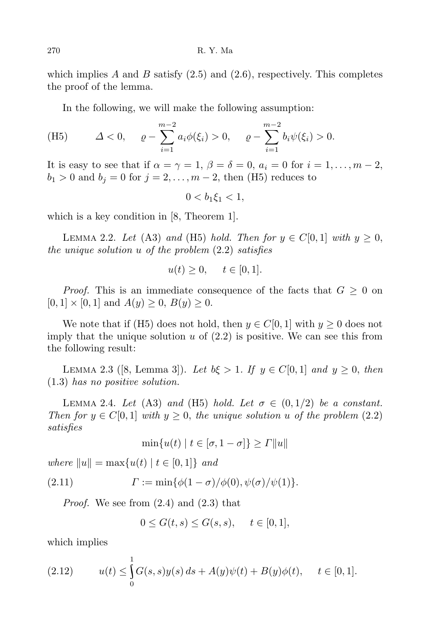which implies  $A$  and  $B$  satisfy  $(2.5)$  and  $(2.6)$ , respectively. This completes the proof of the lemma.

In the following, we will make the following assumption:

(H5) 
$$
\Delta < 0
$$
,  $\varrho - \sum_{i=1}^{m-2} a_i \phi(\xi_i) > 0$ ,  $\varrho - \sum_{i=1}^{m-2} b_i \psi(\xi_i) > 0$ .

It is easy to see that if  $\alpha = \gamma = 1$ ,  $\beta = \delta = 0$ ,  $a_i = 0$  for  $i = 1, \ldots, m-2$ ,  $b_1 > 0$  and  $b_j = 0$  for  $j = 2, \ldots, m-2$ , then (H5) reduces to

$$
0 < b_1 \xi_1 < 1,
$$

which is a key condition in [8, Theorem 1].

LEMMA 2.2. *Let* (A3) *and* (H5) *hold. Then for*  $y \in C[0,1]$  *with*  $y \ge 0$ , *the unique solution u of the problem* (2.2) *satisfies*

$$
u(t) \ge 0, \quad t \in [0, 1].
$$

*Proof.* This is an immediate consequence of the facts that  $G \geq 0$  on  $[0, 1] \times [0, 1]$  and  $A(y) \geq 0$ ,  $B(y) \geq 0$ .

We note that if (H5) does not hold, then  $y \in C[0, 1]$  with  $y \ge 0$  does not imply that the unique solution  $u$  of  $(2.2)$  is positive. We can see this from the following result:

LEMMA 2.3 ([8, Lemma 3]). Let  $b\xi > 1$ . If  $y \in C[0, 1]$  and  $y \ge 0$ , then (1*.*3) *has no positive solution.*

LEMMA 2.4. *Let* (A3) *and* (H5) *hold. Let*  $\sigma \in (0,1/2)$  *be a constant. Then for*  $y \in C[0,1]$  *with*  $y \geq 0$ , *the unique solution u of the problem* (2*.*2) *satisfies*

$$
\min\{u(t) \mid t \in [\sigma, 1 - \sigma]\} \ge \Gamma ||u||
$$

 $where$   $\|u\| = \max\{u(t) | t \in [0,1]\}$  *and* 

(2.11) 
$$
\Gamma := \min{\{\phi(1-\sigma)/\phi(0), \psi(\sigma)/\psi(1)\}}.
$$

*Proof.* We see from (2.4) and (2.3) that

$$
0 \le G(t, s) \le G(s, s), \quad t \in [0, 1],
$$

which implies

(2.12) 
$$
u(t) \leq \int_{0}^{1} G(s,s)y(s) ds + A(y)\psi(t) + B(y)\phi(t), \quad t \in [0,1].
$$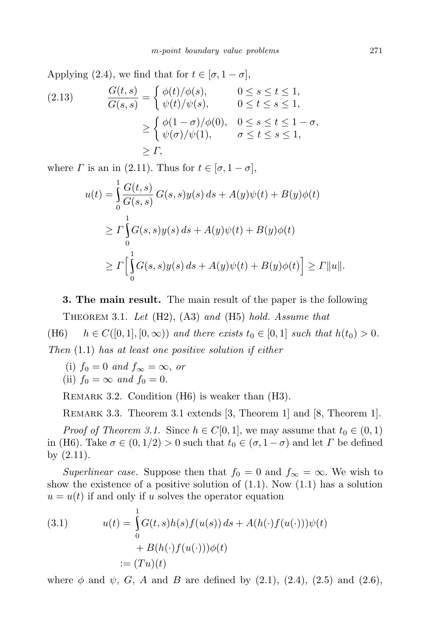Applying (2.4), we find that for  $t \in [\sigma, 1 - \sigma]$ ,

(2.13) 
$$
\frac{G(t,s)}{G(s,s)} = \begin{cases} \phi(t)/\phi(s), & 0 \le s \le t \le 1, \\ \psi(t)/\psi(s), & 0 \le t \le s \le 1, \end{cases}
$$

$$
\ge \begin{cases} \phi(1-\sigma)/\phi(0), & 0 \le s \le t \le 1-\sigma, \\ \psi(\sigma)/\psi(1), & \sigma \le t \le s \le 1, \end{cases}
$$

$$
\ge \Gamma,
$$

where *Γ* is an in (2.11). Thus for  $t \in [\sigma, 1 - \sigma]$ ,

$$
u(t) = \int_{0}^{1} \frac{G(t,s)}{G(s,s)} G(s,s)y(s) ds + A(y)\psi(t) + B(y)\phi(t)
$$
  
\n
$$
\geq \Gamma \int_{0}^{1} G(s,s)y(s) ds + A(y)\psi(t) + B(y)\phi(t)
$$
  
\n
$$
\geq \Gamma \Big[ \int_{0}^{1} G(s,s)y(s) ds + A(y)\psi(t) + B(y)\phi(t) \Big] \geq \Gamma ||u||.
$$

**3. The main result.** The main result of the paper is the following

Theorem 3.1. *Let* (H2), (A3) *and* (H5) *hold. Assume that* (H6)  $h \in C([0, 1], [0, \infty))$  *and there exists*  $t_0 \in [0, 1]$  *such that*  $h(t_0) > 0$ . *Then* (1*.*1) *has at least one positive solution if either*

(i)  $f_0 = 0$  and  $f_\infty = \infty$ , or (ii)  $f_0 = \infty$  *and*  $f_0 = 0$ .

Remark 3.2. Condition (H6) is weaker than (H3).

REMARK 3.3. Theorem 3.1 extends [3, Theorem 1] and [8, Theorem 1].

*Proof of Theorem* 3.1. Since  $h \in C[0,1]$ , we may assume that  $t_0 \in (0,1)$ in (H6). Take  $\sigma \in (0, 1/2) > 0$  such that  $t_0 \in (\sigma, 1 - \sigma)$  and let *Γ* be defined by (2.11).

*Superlinear case.* Suppose then that  $f_0 = 0$  and  $f_\infty = \infty$ . We wish to show the existence of a positive solution of  $(1.1)$ . Now  $(1.1)$  has a solution  $u = u(t)$  if and only if *u* solves the operator equation

(3.1) 
$$
u(t) = \int_{0}^{1} G(t, s)h(s)f(u(s)) ds + A(h(\cdot)f(u(\cdot)))\psi(t)
$$

$$
+ B(h(\cdot)f(u(\cdot)))\phi(t)
$$

$$
:= (Tu)(t)
$$

where  $\phi$  and  $\psi$ , *G*, *A* and *B* are defined by (2.1), (2.4), (2.5) and (2.6),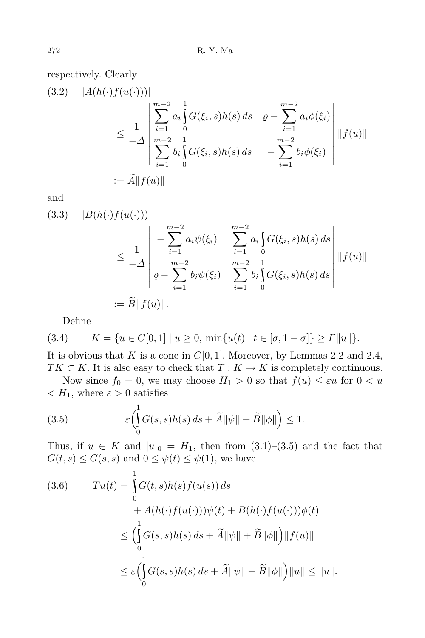respectively. Clearly

$$
(3.2) \quad |A(h(\cdot)f(u(\cdot)))|
$$
  
\n
$$
\leq \frac{1}{-\Delta} \left| \sum_{i=1}^{m-2} a_i \int_0^1 G(\xi_i, s) h(s) ds \quad \varrho - \sum_{i=1}^{m-2} a_i \phi(\xi_i)
$$
  
\n
$$
\leq \frac{1}{-\Delta} \left| \sum_{i=1}^{m-2} b_i \int_0^1 G(\xi_i, s) h(s) ds \quad - \sum_{i=1}^{m-2} b_i \phi(\xi_i) \right| \|f(u)\|
$$
  
\n
$$
:= \widetilde{A} \|f(u)\|
$$

and

$$
(3.3) \quad |B(h(\cdot)f(u(\cdot)))|
$$
  
\n
$$
\leq \frac{1}{-\Delta} \left| -\sum_{i=1}^{m-2} a_i \psi(\xi_i) \sum_{i=1}^{m-2} a_i \int_0^1 G(\xi_i, s) h(s) ds \right|
$$
  
\n
$$
\leq \frac{1}{-\Delta} \left| \rho - \sum_{i=1}^{m-2} b_i \psi(\xi_i) \sum_{i=1}^{m-2} b_i \int_0^1 G(\xi_i, s) h(s) ds \right| \|f(u)\|
$$
  
\n
$$
:= \widetilde{B} \|f(u)\|.
$$

Define

$$
(3.4) \qquad K = \{ u \in C[0,1] \mid u \ge 0, \, \min\{u(t) \mid t \in [\sigma, 1 - \sigma] \} \ge \Gamma ||u|| \}.
$$

It is obvious that *K* is a cone in  $C[0, 1]$ . Moreover, by Lemmas 2.2 and 2.4, *TK*  $\subset$  *K*. It is also easy to check that *T* : *K*  $\rightarrow$  *K* is completely continuous.

Now since  $f_0 = 0$ , we may choose  $H_1 > 0$  so that  $f(u) \leq \varepsilon u$  for  $0 < u$  $\langle H_1, \text{ where } \varepsilon > 0 \text{ satisfies}$ 

(3.5) 
$$
\varepsilon \left( \int_{0}^{1} G(s,s)h(s) \, ds + \widetilde{A} \|\psi\| + \widetilde{B} \|\phi\| \right) \leq 1.
$$

Thus, if  $u \in K$  and  $|u|_0 = H_1$ , then from  $(3.1)$ – $(3.5)$  and the fact that  $G(t, s) \leq G(s, s)$  and  $0 \leq \psi(t) \leq \psi(1)$ , we have

$$
(3.6) \t T u(t) = \int_{0}^{1} G(t,s)h(s)f(u(s)) ds
$$
  
+  $A(h(\cdot)f(u(\cdot)))\psi(t) + B(h(\cdot)f(u(\cdot)))\phi(t)$   
 $\leq \left(\int_{0}^{1} G(s,s)h(s) ds + \tilde{A} ||\psi|| + \tilde{B} ||\phi||\right) ||f(u)||$   
 $\leq \varepsilon \left(\int_{0}^{1} G(s,s)h(s) ds + \tilde{A} ||\psi|| + \tilde{B} ||\phi||\right) ||u|| \leq ||u||.$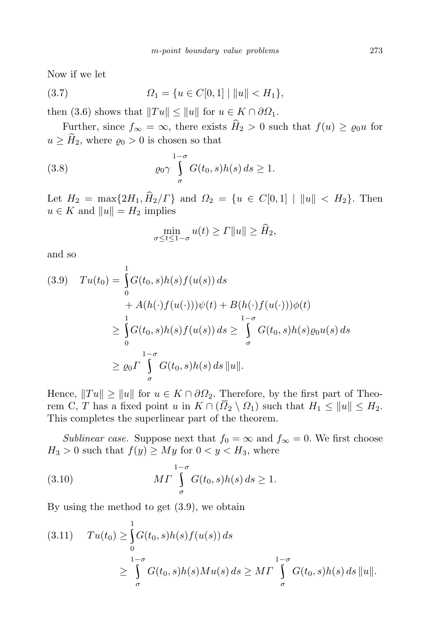Now if we let

(3.7) 
$$
\Omega_1 = \{ u \in C[0,1] \mid ||u|| < H_1 \},
$$

then (3.6) shows that  $||Tu|| \le ||u||$  for  $u \in K \cap \partial \Omega_1$ .

Further, since  $f_{\infty} = \infty$ , there exists  $\hat{H}_2 > 0$  such that  $f(u) \geq \varrho_0 u$  for  $u \geq \widehat{H}_2$ , where  $\varrho_0 > 0$  is chosen so that

(3.8) 
$$
\varrho_0 \gamma \int\limits_{\sigma}^{1-\sigma} G(t_0, s) h(s) ds \ge 1.
$$

Let  $H_2 = \max\{2H_1, \hat{H}_2/\Gamma\}$  and  $\Omega_2 = \{u \in C[0,1] \mid ||u|| < H_2\}$ . Then  $u \in K$  and  $||u|| = H_2$  implies

$$
\min_{\sigma \le t \le 1-\sigma} u(t) \ge T||u|| \ge \widehat{H}_2,
$$

and so

$$
(3.9) \quad Tu(t_0) = \int_0^1 G(t_0, s)h(s)f(u(s)) ds
$$
  

$$
+ A(h(\cdot)f(u(\cdot)))\psi(t) + B(h(\cdot)f(u(\cdot)))\phi(t)
$$
  

$$
\geq \int_0^1 G(t_0, s)h(s)f(u(s)) ds \geq \int_{\sigma}^{1-\sigma} G(t_0, s)h(s)\varrho_0 u(s) ds
$$
  

$$
\geq \varrho_0 \Gamma \int_{\sigma}^{1-\sigma} G(t_0, s)h(s) ds ||u||.
$$

Hence,  $||Tu|| \ge ||u||$  for  $u \in K \cap \partial \Omega_2$ . Therefore, by the first part of Theorem C, *T* has a fixed point *u* in  $K \cap (\overline{\Omega}_2 \setminus \Omega_1)$  such that  $H_1 \leq ||u|| \leq H_2$ . This completes the superlinear part of the theorem.

*Sublinear case.* Suppose next that  $f_0 = \infty$  and  $f_\infty = 0$ . We first choose  $H_3 > 0$  such that  $f(y) \geq My$  for  $0 < y < H_3$ , where

(3.10) 
$$
M\Gamma \int_{\sigma}^{1-\sigma} G(t_0, s)h(s) ds \ge 1.
$$

By using the method to get (3.9), we obtain

$$
(3.11) \t T u(t_0) \geq \int_{0}^{1} G(t_0, s)h(s) f(u(s)) ds
$$
  
 
$$
\geq \int_{\sigma}^{1-\sigma} G(t_0, s)h(s)Mu(s) ds \geq M \int_{\sigma}^{1-\sigma} G(t_0, s)h(s) ds ||u||.
$$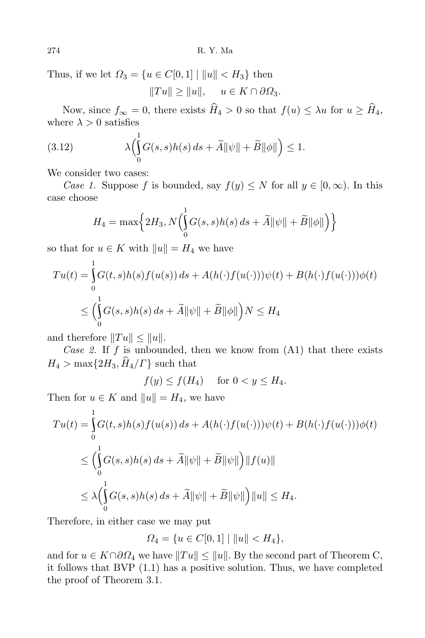Thus, if we let  $\Omega_3 = \{u \in C[0,1] \mid ||u|| < H_3\}$  then

 $\|Tu\| \geq \|u\|, \quad u \in K \cap \partial \Omega_3.$ 

Now, since  $f_{\infty} = 0$ , there exists  $\widehat{H}_4 > 0$  so that  $f(u) \leq \lambda u$  for  $u \geq \widehat{H}_4$ , where  $\lambda > 0$  satisfies

(3.12) 
$$
\lambda \left( \int_{0}^{1} G(s,s)h(s) ds + \widetilde{A} \|\psi\| + \widetilde{B} \|\phi\| \right) \leq 1.
$$

We consider two cases:

*Case 1.* Suppose *f* is bounded, say  $f(y) \leq N$  for all  $y \in [0, \infty)$ . In this case choose

$$
H_4 = \max\left\{2H_3, N\left(\int_0^1 G(s,s)h(s) \, ds + \widetilde{A} \|\psi\| + \widetilde{B}\|\phi\|\right)\right\}
$$

so that for  $u \in K$  with  $||u|| = H_4$  we have

$$
Tu(t) = \int_{0}^{1} G(t, s)h(s)f(u(s)) ds + A(h(\cdot)f(u(\cdot)))\psi(t) + B(h(\cdot)f(u(\cdot)))\phi(t)
$$
  

$$
\leq \left(\int_{0}^{1} G(s, s)h(s) ds + \widetilde{A} \|\psi\| + \widetilde{B} \|\phi\|\right) N \leq H_4
$$

and therefore  $||Tu|| \leq ||u||$ .

*Case 2.* If *f* is unbounded, then we know from (A1) that there exists  $H_4 > \max\{2H_3, \hat{H}_4/\Gamma\}$  such that

$$
f(y) \le f(H_4) \quad \text{ for } 0 < y \le H_4.
$$

Then for  $u \in K$  and  $||u|| = H_4$ , we have

$$
Tu(t) = \int_{0}^{1} G(t, s)h(s)f(u(s)) ds + A(h(\cdot)f(u(\cdot)))\psi(t) + B(h(\cdot)f(u(\cdot)))\phi(t)
$$
  
\n
$$
\leq \left(\int_{0}^{1} G(s, s)h(s) ds + \widetilde{A} \|\psi\| + \widetilde{B} \|\psi\|\right) \|f(u)\|
$$
  
\n
$$
\leq \lambda \left(\int_{0}^{1} G(s, s)h(s) ds + \widetilde{A} \|\psi\| + \widetilde{B} \|\psi\|\right) \|u\| \leq H_4.
$$

Therefore, in either case we may put

$$
\Omega_4 = \{ u \in C[0,1] \mid ||u|| < H_4 \},\
$$

and for  $u \in K \cap \partial \Omega_4$  we have  $||Tu|| \le ||u||$ . By the second part of Theorem C, it follows that BVP (1.1) has a positive solution. Thus, we have completed the proof of Theorem 3.1.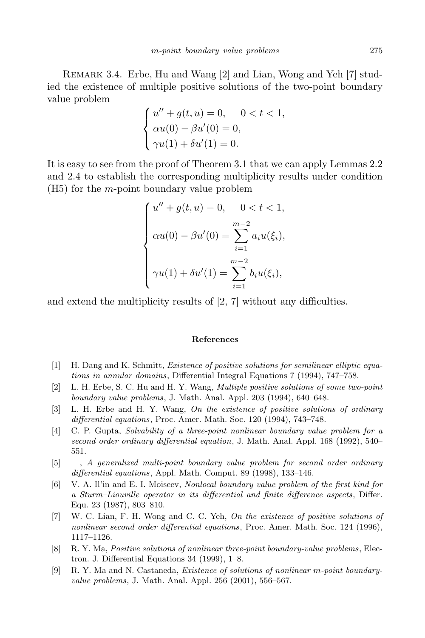Remark 3.4. Erbe, Hu and Wang [2] and Lian, Wong and Yeh [7] studied the existence of multiple positive solutions of the two-point boundary value problem

$$
\begin{cases}\nu'' + g(t, u) = 0, & 0 < t < 1, \\
\alpha u(0) - \beta u'(0) = 0, \\
\gamma u(1) + \delta u'(1) = 0.\n\end{cases}
$$

It is easy to see from the proof of Theorem 3.1 that we can apply Lemmas 2.2 and 2.4 to establish the corresponding multiplicity results under condition (H5) for the *m*-point boundary value problem

$$
\begin{cases}\nu'' + g(t, u) = 0, & 0 < t < 1, \\
\alpha u(0) - \beta u'(0) = \sum_{i=1}^{m-2} a_i u(\xi_i), \\
\gamma u(1) + \delta u'(1) = \sum_{i=1}^{m-2} b_i u(\xi_i),\n\end{cases}
$$

and extend the multiplicity results of [2, 7] without any difficulties.

## **References**

- [1] H. Dang and K. Schmitt, *Existence of positive solutions for semilinear elliptic equations in annular domains*, Differential Integral Equations 7 (1994), 747–758.
- [2] L. H. Erbe, S. C. Hu and H. Y. Wang, *Multiple positive solutions of some two-point boundary value problems*, J. Math. Anal. Appl. 203 (1994), 640–648.
- [3] L. H. Erbe and H. Y. Wang, *On the existence of positive solutions of ordinary differential equations*, Proc. Amer. Math. Soc. 120 (1994), 743–748.
- [4] C. P. Gupta, *Solvability of a three-point nonlinear boundary value problem for a second order ordinary differential equation*, J. Math. Anal. Appl. 168 (1992), 540– 551.
- [5] —, *A generalized multi-point boundary value problem for second order ordinary differential equations*, Appl. Math. Comput. 89 (1998), 133–146.
- [6] V. A. Il'in and E. I. Moiseev, *Nonlocal boundary value problem of the first kind for a Sturm–Liouville operator in its differential and finite difference aspects*, Differ. Equ. 23 (1987), 803–810.
- [7] W. C. Lian, F. H. Wong and C. C. Yeh, *On the existence of positive solutions of nonlinear second order differential equations*, Proc. Amer. Math. Soc. 124 (1996), 1117–1126.
- [8] R. Y. Ma, *Positive solutions of nonlinear three-point boundary-value problems*, Electron. J. Differential Equations 34 (1999), 1–8.
- [9] R. Y. Ma and N. Castaneda, *Existence of solutions of nonlinear m-point boundaryvalue problems*, J. Math. Anal. Appl. 256 (2001), 556–567.